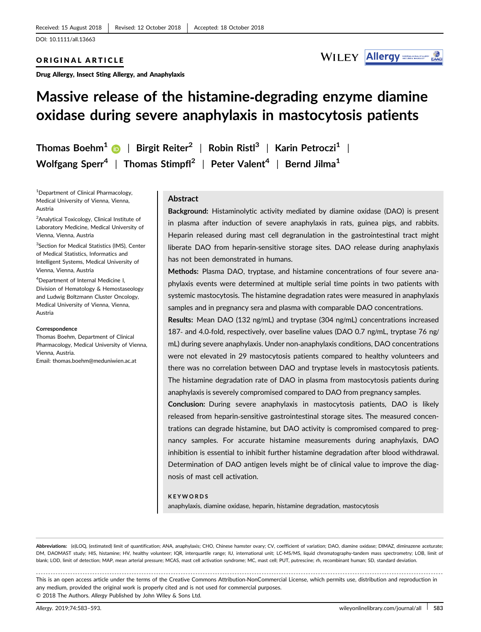### ORIGINAL ARTICLE

Drug Allergy, Insect Sting Allergy, and Anaphylaxis



# Massive release of the histamine‐degrading enzyme diamine oxidase during severe anaphylaxis in mastocytosis patients

Thomas Boehm<sup>1</sup> D | Birgit Reiter<sup>2</sup> | Robin Ristl<sup>3</sup> | Karin Petroczi<sup>1</sup> | Wolfgang Sperr<sup>4</sup> | Thomas Stimpfl<sup>2</sup> | Peter Valent<sup>4</sup> | Bernd Jilma<sup>1</sup>

1 Department of Clinical Pharmacology, Medical University of Vienna, Vienna, Austria

<sup>2</sup>Analytical Toxicology, Clinical Institute of Laboratory Medicine, Medical University of Vienna, Vienna, Austria

<sup>3</sup>Section for Medical Statistics (IMS), Center of Medical Statistics, Informatics and Intelligent Systems, Medical University of Vienna, Vienna, Austria

4 Department of Internal Medicine I, Division of Hematology & Hemostaseology and Ludwig Boltzmann Cluster Oncology, Medical University of Vienna, Vienna, Austria

#### Correspondence

Thomas Boehm, Department of Clinical Pharmacology, Medical University of Vienna, Vienna, Austria. Email: thomas.boehm@meduniwien.ac.at

### **Abstract**

Background: Histaminolytic activity mediated by diamine oxidase (DAO) is present in plasma after induction of severe anaphylaxis in rats, guinea pigs, and rabbits. Heparin released during mast cell degranulation in the gastrointestinal tract might liberate DAO from heparin-sensitive storage sites. DAO release during anaphylaxis has not been demonstrated in humans.

Methods: Plasma DAO, tryptase, and histamine concentrations of four severe anaphylaxis events were determined at multiple serial time points in two patients with systemic mastocytosis. The histamine degradation rates were measured in anaphylaxis samples and in pregnancy sera and plasma with comparable DAO concentrations.

Results: Mean DAO (132 ng/mL) and tryptase (304 ng/mL) concentrations increased 187- and 4.0-fold, respectively, over baseline values (DAO 0.7 ng/mL, tryptase 76 ng/ mL) during severe anaphylaxis. Under non‐anaphylaxis conditions, DAO concentrations were not elevated in 29 mastocytosis patients compared to healthy volunteers and there was no correlation between DAO and tryptase levels in mastocytosis patients. The histamine degradation rate of DAO in plasma from mastocytosis patients during anaphylaxis is severely compromised compared to DAO from pregnancy samples.

Conclusion: During severe anaphylaxis in mastocytosis patients, DAO is likely released from heparin‐sensitive gastrointestinal storage sites. The measured concentrations can degrade histamine, but DAO activity is compromised compared to pregnancy samples. For accurate histamine measurements during anaphylaxis, DAO inhibition is essential to inhibit further histamine degradation after blood withdrawal. Determination of DAO antigen levels might be of clinical value to improve the diagnosis of mast cell activation.

#### KEYWORDS

anaphylaxis, diamine oxidase, heparin, histamine degradation, mastocytosis

Abbreviations: (e)LOQ, (estimated) limit of quantification; ANA, anaphylaxis; CHO, Chinese hamster ovary; CV, coefficient of variation; DAO, diamine oxidase; DIMAZ, diminazene aceturate; DM, DAOMAST study; HIS, histamine; HV, healthy volunteer; IQR, interquartile range; IU, international unit; LC-MS/MS, liquid chromatography-tandem mass spectrometry; LOB, limit of blank; LOD, limit of detection; MAP, mean arterial pressure; MCAS, mast cell activation syndrome; MC, mast cell; PUT, putrescine; rh, recombinant human; SD, standard deviation

------------------------------------------------------------------------------------------------------------------------------- --------------------------------------- This is an open access article under the terms of the [Creative Commons Attribution](http://creativecommons.org/licenses/by-nc/4.0/)‐NonCommercial License, which permits use, distribution and reproduction in any medium, provided the original work is properly cited and is not used for commercial purposes. © 2018 The Authors. Allergy Published by John Wiley & Sons Ltd.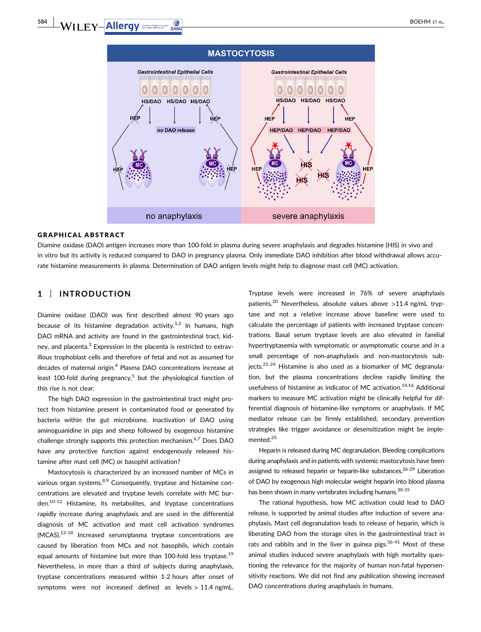# $WILEY Allergy$  and a second second  $R$  and  $R$  and  $R$  and  $R$  and  $R$  and  $R$  and  $R$  and  $R$  and  $R$  and  $R$  and  $R$  and  $R$  and  $R$  and  $R$  and  $R$  and  $R$  and  $R$  and  $R$  and  $R$  and  $R$  and  $R$  and  $R$  and  $R$  an



#### GRAPHICAL ABSTRACT

Diamine oxidase (DAO) antigen increases more than 100‐fold in plasma during severe anaphylaxis and degrades histamine (HIS) in vivo and in vitro but its activity is reduced compared to DAO in pregnancy plasma. Only immediate DAO inhibition after blood withdrawal allows accurate histamine measurements in plasma. Determination of DAO antigen levels might help to diagnose mast cell (MC) activation.

## 1 | INTRODUCTION

Diamine oxidase (DAO) was first described almost 90 years ago because of its histamine degradation activity.<sup>1,2</sup> In humans, high DAO mRNA and activity are found in the gastrointestinal tract, kidney, and placenta.<sup>3</sup> Expression in the placenta is restricted to extravillous trophoblast cells and therefore of fetal and not as assumed for decades of maternal origin.<sup>4</sup> Plasma DAO concentrations increase at least 100-fold during pregnancy,<sup>5</sup> but the physiological function of this rise is not clear.

The high DAO expression in the gastrointestinal tract might protect from histamine present in contaminated food or generated by bacteria within the gut microbiome. Inactivation of DAO using aminoguanidine in pigs and sheep followed by exogenous histamine challenge strongly supports this protection mechanism.<sup>6,7</sup> Does DAO have any protective function against endogenously released histamine after mast cell (MC) or basophil activation?

Mastocytosis is characterized by an increased number of MCs in various organ systems.<sup>8,9</sup> Consequently, tryptase and histamine concentrations are elevated and tryptase levels correlate with MC burden.10-12 Histamine, its metabolites, and tryptase concentrations rapidly increase during anaphylaxis and are used in the differential diagnosis of MC activation and mast cell activation syndromes (MCAS).13-18 Increased serum/plasma tryptase concentrations are caused by liberation from MCs and not basophils, which contain equal amounts of histamine but more than 100-fold less tryptase.<sup>19</sup> Nevertheless, in more than a third of subjects during anaphylaxis, tryptase concentrations measured within 1‐2 hours after onset of symptoms were not increased defined as levels > 11.4 ng/mL.

Tryptase levels were increased in 76% of severe anaphylaxis patients.<sup>20</sup> Nevertheless, absolute values above >11.4 ng/mL tryptase and not a relative increase above baseline were used to calculate the percentage of patients with increased tryptase concentrations. Basal serum tryptase levels are also elevated in familial hypertryptasemia with symptomatic or asymptomatic course and in a small percentage of non-anaphylaxis and non-mastocytosis subjects. $2^{2+24}$  Histamine is also used as a biomarker of MC degranulation, but the plasma concentrations decline rapidly limiting the usefulness of histamine as indicator of MC activation.<sup>14,16</sup> Additional markers to measure MC activation might be clinically helpful for differential diagnosis of histamine‐like symptoms or anaphylaxis. If MC mediator release can be firmly established, secondary prevention strategies like trigger avoidance or desensitization might be implemented.<sup>25</sup>

Heparin is released during MC degranulation. Bleeding complications during anaphylaxis and in patients with systemic mastocytosis have been assigned to released heparin or heparin-like substances.<sup>26-29</sup> Liberation of DAO by exogenous high molecular weight heparin into blood plasma has been shown in many vertebrates including humans.<sup>30-35</sup>

The rational hypothesis, how MC activation could lead to DAO release, is supported by animal studies after induction of severe anaphylaxis. Mast cell degranulation leads to release of heparin, which is liberating DAO from the storage sites in the gastrointestinal tract in rats and rabbits and in the liver in guinea pigs. $36-41$  Most of these animal studies induced severe anaphylaxis with high mortality questioning the relevance for the majority of human non‐fatal hypersensitivity reactions. We did not find any publication showing increased DAO concentrations during anaphylaxis in humans.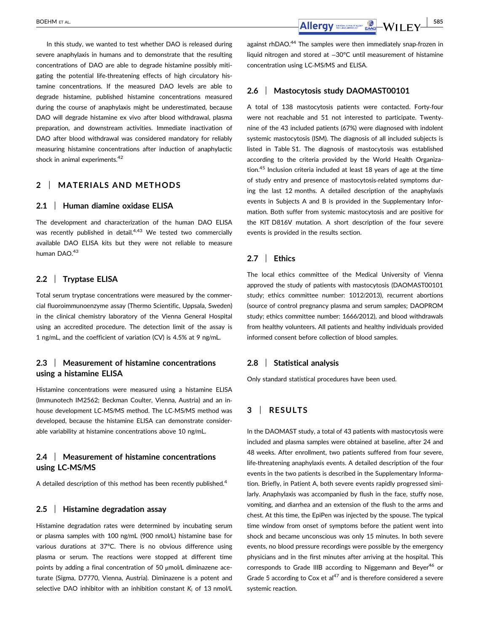In this study, we wanted to test whether DAO is released during severe anaphylaxis in humans and to demonstrate that the resulting concentrations of DAO are able to degrade histamine possibly mitigating the potential life‐threatening effects of high circulatory histamine concentrations. If the measured DAO levels are able to degrade histamine, published histamine concentrations measured during the course of anaphylaxis might be underestimated, because DAO will degrade histamine ex vivo after blood withdrawal, plasma preparation, and downstream activities. Immediate inactivation of DAO after blood withdrawal was considered mandatory for reliably measuring histamine concentrations after induction of anaphylactic shock in animal experiments.<sup>42</sup>

## 2 | MATERIALS AND METHODS

### 2.1 | Human diamine oxidase ELISA

The development and characterization of the human DAO ELISA was recently published in detail. $4,43$  We tested two commercially available DAO ELISA kits but they were not reliable to measure human DAO.<sup>43</sup>

## 2.2 | Tryptase ELISA

Total serum tryptase concentrations were measured by the commercial fluoroimmunoenzyme assay (Thermo Scientific, Uppsala, Sweden) in the clinical chemistry laboratory of the Vienna General Hospital using an accredited procedure. The detection limit of the assay is 1 ng/mL, and the coefficient of variation (CV) is 4.5% at 9 ng/mL.

## 2.3 | Measurement of histamine concentrations using a histamine ELISA

Histamine concentrations were measured using a histamine ELISA (Immunotech IM2562; Beckman Coulter, Vienna, Austria) and an in‐ house development LC‐MS/MS method. The LC‐MS/MS method was developed, because the histamine ELISA can demonstrate considerable variability at histamine concentrations above 10 ng/mL.

## 2.4 | Measurement of histamine concentrations using LC‐MS/MS

A detailed description of this method has been recently published.<sup>4</sup>

#### 2.5 | Histamine degradation assay

Histamine degradation rates were determined by incubating serum or plasma samples with 100 ng/mL (900 nmol/L) histamine base for various durations at 37°C. There is no obvious difference using plasma or serum. The reactions were stopped at different time points by adding a final concentration of 50 μmol/L diminazene aceturate (Sigma, D7770, Vienna, Austria). Diminazene is a potent and selective DAO inhibitor with an inhibition constant  $K_i$  of 13 nmol/L

against rhDAO.<sup>44</sup> The samples were then immediately snap-frozen in liquid nitrogen and stored at −30°C until measurement of histamine concentration using LC‐MS/MS and ELISA.

#### 2.6 | Mastocytosis study DAOMAST00101

A total of 138 mastocytosis patients were contacted. Forty‐four were not reachable and 51 not interested to participate. Twentynine of the 43 included patients (67%) were diagnosed with indolent systemic mastocytosis (ISM). The diagnosis of all included subjects is listed in Table S1. The diagnosis of mastocytosis was established according to the criteria provided by the World Health Organization.45 Inclusion criteria included at least 18 years of age at the time of study entry and presence of mastocytosis‐related symptoms during the last 12 months. A detailed description of the anaphylaxis events in Subjects A and B is provided in the Supplementary Information. Both suffer from systemic mastocytosis and are positive for the KIT D816V mutation. A short description of the four severe events is provided in the results section.

## 2.7 | Ethics

The local ethics committee of the Medical University of Vienna approved the study of patients with mastocytosis (DAOMAST00101 study; ethics committee number: 1012/2013), recurrent abortions (source of control pregnancy plasma and serum samples; DAOPROM study; ethics committee number: 1666/2012), and blood withdrawals from healthy volunteers. All patients and healthy individuals provided informed consent before collection of blood samples.

#### 2.8 | Statistical analysis

Only standard statistical procedures have been used.

## 3 | RESULTS

In the DAOMAST study, a total of 43 patients with mastocytosis were included and plasma samples were obtained at baseline, after 24 and 48 weeks. After enrollment, two patients suffered from four severe, life-threatening anaphylaxis events. A detailed description of the four events in the two patients is described in the Supplementary Information. Briefly, in Patient A, both severe events rapidly progressed similarly. Anaphylaxis was accompanied by flush in the face, stuffy nose, vomiting, and diarrhea and an extension of the flush to the arms and chest. At this time, the EpiPen was injected by the spouse. The typical time window from onset of symptoms before the patient went into shock and became unconscious was only 15 minutes. In both severe events, no blood pressure recordings were possible by the emergency physicians and in the first minutes after arriving at the hospital. This corresponds to Grade IIIB according to Niggemann and Beyer<sup>46</sup> or Grade 5 according to Cox et al $47$  and is therefore considered a severe systemic reaction.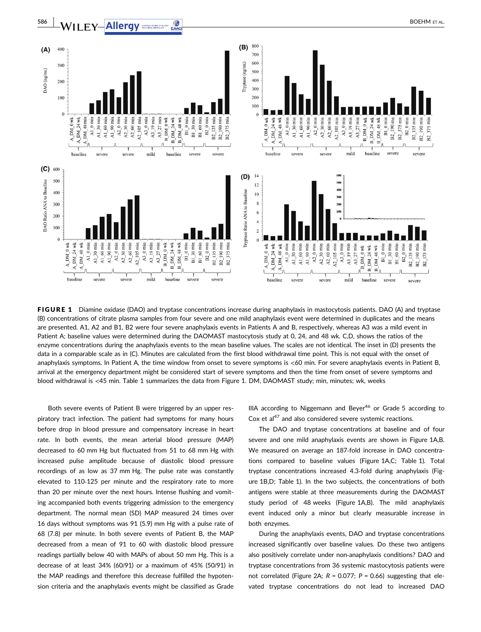

FIGURE 1 Diamine oxidase (DAO) and tryptase concentrations increase during anaphylaxis in mastocytosis patients. DAO (A) and tryptase (B) concentrations of citrate plasma samples from four severe and one mild anaphylaxis event were determined in duplicates and the means are presented. A1, A2 and B1, B2 were four severe anaphylaxis events in Patients A and B, respectively, whereas A3 was a mild event in Patient A; baseline values were determined during the DAOMAST mastocytosis study at 0, 24, and 48 wk. C,D, shows the ratios of the enzyme concentrations during the anaphylaxis events to the mean baseline values. The scales are not identical. The inset in (D) presents the data in a comparable scale as in (C). Minutes are calculated from the first blood withdrawal time point. This is not equal with the onset of anaphylaxis symptoms. In Patient A, the time window from onset to severe symptoms is <60 min. For severe anaphylaxis events in Patient B, arrival at the emergency department might be considered start of severe symptoms and then the time from onset of severe symptoms and blood withdrawal is <45 min. Table 1 summarizes the data from Figure 1. DM, DAOMAST study; min, minutes; wk, weeks

Both severe events of Patient B were triggered by an upper respiratory tract infection. The patient had symptoms for many hours before drop in blood pressure and compensatory increase in heart rate. In both events, the mean arterial blood pressure (MAP) decreased to 60 mm Hg but fluctuated from 51 to 68 mm Hg with increased pulse amplitude because of diastolic blood pressure recordings of as low as 37 mm Hg. The pulse rate was constantly elevated to 110‐125 per minute and the respiratory rate to more than 20 per minute over the next hours. Intense flushing and vomiting accompanied both events triggering admission to the emergency department. The normal mean (SD) MAP measured 24 times over 16 days without symptoms was 91 (5.9) mm Hg with a pulse rate of 68 (7.8) per minute. In both severe events of Patient B, the MAP decreased from a mean of 91 to 60 with diastolic blood pressure readings partially below 40 with MAPs of about 50 mm Hg. This is a decrease of at least 34% (60/91) or a maximum of 45% (50/91) in the MAP readings and therefore this decrease fulfilled the hypotension criteria and the anaphylaxis events might be classified as Grade IIIA according to Niggemann and Beyer<sup>46</sup> or Grade 5 according to Cox et al<sup>47</sup> and also considered severe systemic reactions.

The DAO and tryptase concentrations at baseline and of four severe and one mild anaphylaxis events are shown in Figure 1A,B. We measured on average an 187-fold increase in DAO concentrations compared to baseline values (Figure 1A,C; Table 1). Total tryptase concentrations increased 4.3‐fold during anaphylaxis (Figure 1B,D; Table 1). In the two subjects, the concentrations of both antigens were stable at three measurements during the DAOMAST study period of 48 weeks (Figure 1A,B). The mild anaphylaxis event induced only a minor but clearly measurable increase in both enzymes.

During the anaphylaxis events, DAO and tryptase concentrations increased significantly over baseline values. Do these two antigens also positively correlate under non‐anaphylaxis conditions? DAO and tryptase concentrations from 36 systemic mastocytosis patients were not correlated (Figure 2A;  $R = 0.077$ ;  $P = 0.66$ ) suggesting that elevated tryptase concentrations do not lead to increased DAO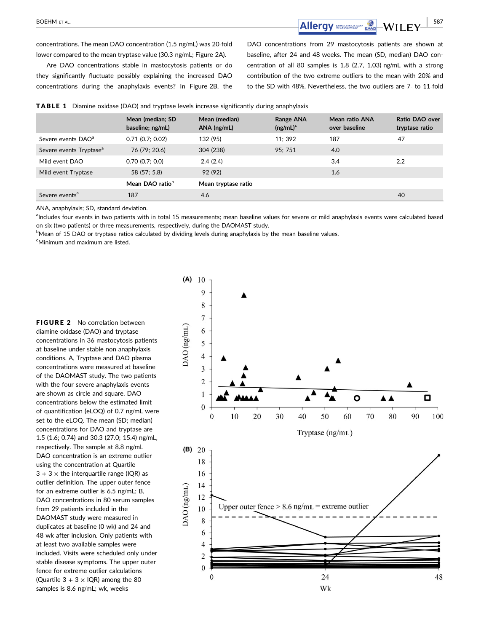$\overline{\text{Allergy}}$   $\overline{\text{mag}}$   $\overline{\text{WII}}$   $\overline{\text{FY}}$   $\overline{\text{S87}}$ 

concentrations. The mean DAO concentration (1.5 ng/mL) was 20‐fold lower compared to the mean tryptase value (30.3 ng/mL; Figure 2A).

Are DAO concentrations stable in mastocytosis patients or do they significantly fluctuate possibly explaining the increased DAO concentrations during the anaphylaxis events? In Figure 2B, the DAO concentrations from 29 mastocytosis patients are shown at baseline, after 24 and 48 weeks. The mean (SD, median) DAO concentration of all 80 samples is 1.8 (2.7, 1.03) ng/mL with a strong contribution of the two extreme outliers to the mean with 20% and to the SD with 48%. Nevertheless, the two outliers are 7‐ to 11‐fold

|                                     | Mean (median; SD<br>baseline; ng/mL) | Mean (median)<br>$ANA$ (ng/mL) | Range ANA<br>$(ng/mL)^c$ | Mean ratio ANA<br>over baseline | Ratio DAO over<br>tryptase ratio |
|-------------------------------------|--------------------------------------|--------------------------------|--------------------------|---------------------------------|----------------------------------|
| Severe events DAO <sup>a</sup>      | $0.71$ (0.7; 0.02)                   | 132 (95)                       | 11: 392                  | 187                             | 47                               |
| Severe events Tryptase <sup>a</sup> | 76 (79; 20.6)                        | 304 (238)                      | 95; 751                  | 4.0                             |                                  |
| Mild event DAO                      | 0.70(0.7; 0.0)                       | 2.4(2.4)                       |                          | 3.4                             | 2.2                              |
| Mild event Tryptase                 | 58 (57; 5.8)                         | 92 (92)                        |                          | 1.6                             |                                  |
|                                     | Mean DAO ratio <sup>b</sup>          | Mean tryptase ratio            |                          |                                 |                                  |
| Severe events <sup>a</sup>          | 187                                  | 4.6                            |                          |                                 | 40                               |
|                                     |                                      |                                |                          |                                 |                                  |

TABLE 1 Diamine oxidase (DAO) and tryptase levels increase significantly during anaphylaxis

ANA, anaphylaxis; SD, standard deviation.

alncludes four events in two patients with in total 15 measurements; mean baseline values for severe or mild anaphylaxis events were calculated based on six (two patients) or three measurements, respectively, during the DAOMAST study.

<sup>b</sup>Mean of 15 DAO or tryptase ratios calculated by dividing levels during anaphylaxis by the mean baseline values.

c Minimum and maximum are listed.

**FIGURE 2** No correlation between diamine oxidase (DAO) and tryptase concentrations in 36 mastocytosis patients at baseline under stable non‐anaphylaxis conditions. A, Tryptase and DAO plasma concentrations were measured at baseline of the DAOMAST study. The two patients with the four severe anaphylaxis events are shown as circle and square. DAO concentrations below the estimated limit of quantification (eLOQ) of 0.7 ng/mL were set to the eLOQ. The mean (SD; median) concentrations for DAO and tryptase are 1.5 (1.6; 0.74) and 30.3 (27.0; 15.4) ng/mL, respectively. The sample at 8.8 ng/mL DAO concentration is an extreme outlier using the concentration at Quartile  $3 + 3 \times$  the interquartile range (IQR) as outlier definition. The upper outer fence for an extreme outlier is 6.5 ng/mL; B, DAO concentrations in 80 serum samples from 29 patients included in the DAOMAST study were measured in duplicates at baseline (0 wk) and 24 and 48 wk after inclusion. Only patients with at least two available samples were included. Visits were scheduled only under stable disease symptoms. The upper outer fence for extreme outlier calculations (Quartile  $3 + 3 \times$  IQR) among the 80 samples is 8.6 ng/mL; wk, weeks

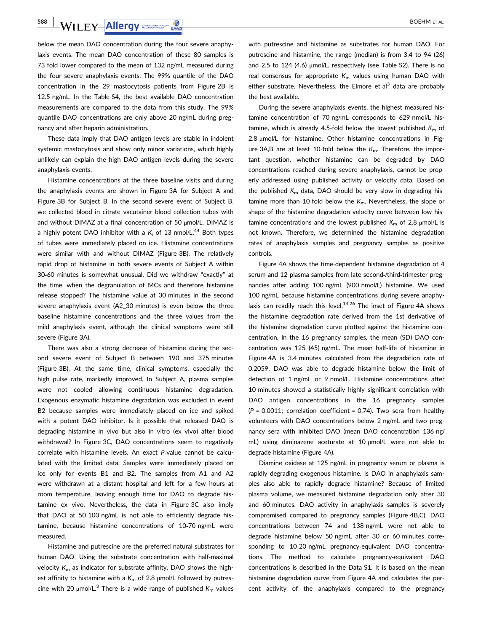**588 WILEY-Allergy SOLERY Allergy BOEHM ET AL.** 

below the mean DAO concentration during the four severe anaphylaxis events. The mean DAO concentration of these 80 samples is 73‐fold lower compared to the mean of 132 ng/mL measured during the four severe anaphylaxis events. The 99% quantile of the DAO concentration in the 29 mastocytosis patients from Figure 2B is 12.5 ng/mL. In the Table S4, the best available DAO concentration measurements are compared to the data from this study. The 99% quantile DAO concentrations are only above 20 ng/mL during pregnancy and after heparin administration.

These data imply that DAO antigen levels are stable in indolent systemic mastocytosis and show only minor variations, which highly unlikely can explain the high DAO antigen levels during the severe anaphylaxis events.

Histamine concentrations at the three baseline visits and during the anaphylaxis events are shown in Figure 3A for Subject A and Figure 3B for Subject B. In the second severe event of Subject B, we collected blood in citrate vacutainer blood collection tubes with and without DIMAZ at a final concentration of 50 μmol/L. DIMAZ is a highly potent DAO inhibitor with a  $K_i$  of 13 nmol/L.<sup>44</sup> Both types of tubes were immediately placed on ice. Histamine concentrations were similar with and without DIMAZ (Figure 3B). The relatively rapid drop of histamine in both severe events of Subject A within 30‐60 minutes is somewhat unusual. Did we withdraw "exactly" at the time, when the degranulation of MCs and therefore histamine release stopped? The histamine value at 30 minutes in the second severe anaphylaxis event (A2\_30 minutes) is even below the three baseline histamine concentrations and the three values from the mild anaphylaxis event, although the clinical symptoms were still severe (Figure 3A).

There was also a strong decrease of histamine during the second severe event of Subject B between 190 and 375 minutes (Figure 3B). At the same time, clinical symptoms, especially the high pulse rate, markedly improved. In Subject A, plasma samples were not cooled allowing continuous histamine degradation. Exogenous enzymatic histamine degradation was excluded in event B2 because samples were immediately placed on ice and spiked with a potent DAO inhibitor. Is it possible that released DAO is degrading histamine in vivo but also in vitro (ex vivo) after blood withdrawal? In Figure 3C, DAO concentrations seem to negatively correlate with histamine levels. An exact P-value cannot be calculated with the limited data. Samples were immediately placed on ice only for events B1 and B2. The samples from A1 and A2 were withdrawn at a distant hospital and left for a few hours at room temperature, leaving enough time for DAO to degrade histamine ex vivo. Nevertheless, the data in Figure 3C also imply that DAO at 50‐100 ng/mL is not able to efficiently degrade histamine, because histamine concentrations of 10‐70 ng/mL were measured.

Histamine and putrescine are the preferred natural substrates for human DAO. Using the substrate concentration with half‐maximal velocity  $K<sub>m</sub>$  as indicator for substrate affinity, DAO shows the highest affinity to histamine with a  $K_m$  of 2.8  $\mu$ mol/L followed by putrescine with 20  $\mu$ mol/L.<sup>3</sup> There is a wide range of published K<sub>m</sub> values with putrescine and histamine as substrates for human DAO. For putrescine and histamine, the range (median) is from 3.4 to 94 (26) and 2.5 to 124 (4.6) μmol/L, respectively (see Table S2). There is no real consensus for appropriate  $K<sub>m</sub>$  values using human DAO with either substrate. Nevertheless, the Elmore et al<sup>3</sup> data are probably the best available.

During the severe anaphylaxis events, the highest measured histamine concentration of 70 ng/mL corresponds to 629 nmol/L histamine, which is already 4.5-fold below the lowest published  $K<sub>m</sub>$  of 2.8 μmol/L for histamine. Other histamine concentrations in Figure 3A,B are at least 10-fold below the  $K_m$ . Therefore, the important question, whether histamine can be degraded by DAO concentrations reached during severe anaphylaxis, cannot be properly addressed using published activity or velocity data. Based on the published  $K<sub>m</sub>$  data, DAO should be very slow in degrading histamine more than 10-fold below the  $K<sub>m</sub>$ . Nevertheless, the slope or shape of the histamine degradation velocity curve between low histamine concentrations and the lowest published  $K_m$  of 2.8  $\mu$ mol/L is not known. Therefore, we determined the histamine degradation rates of anaphylaxis samples and pregnancy samples as positive controls.

Figure 4A shows the time‐dependent histamine degradation of 4 serum and 12 plasma samples from late second-/third-trimester pregnancies after adding 100 ng/mL (900 nmol/L) histamine. We used 100 ng/mL because histamine concentrations during severe anaphylaxis can readily reach this level.<sup>14,26</sup> The inset of Figure 4A shows the histamine degradation rate derived from the 1st derivative of the histamine degradation curve plotted against the histamine concentration. In the 16 pregnancy samples, the mean (SD) DAO concentration was 125 (45) ng/mL. The mean half‐life of histamine in Figure 4A is 3.4 minutes calculated from the degradation rate of 0.2059. DAO was able to degrade histamine below the limit of detection of 1 ng/mL or 9 nmol/L. Histamine concentrations after 10 minutes showed a statistically highly significant correlation with DAO antigen concentrations in the 16 pregnancy samples  $(P = 0.0011$ ; correlation coefficient = 0.74). Two sera from healthy volunteers with DAO concentrations below 2 ng/mL and two pregnancy sera with inhibited DAO (mean DAO concentration 136 ng/ mL) using diminazene aceturate at 10 μmol/L were not able to degrade histamine (Figure 4A).

Diamine oxidase at 125 ng/mL in pregnancy serum or plasma is rapidly degrading exogenous histamine. Is DAO in anaphylaxis samples also able to rapidly degrade histamine? Because of limited plasma volume, we measured histamine degradation only after 30 and 60 minutes. DAO activity in anaphylaxis samples is severely compromised compared to pregnancy samples (Figure 4B,C). DAO concentrations between 74 and 138 ng/mL were not able to degrade histamine below 50 ng/mL after 30 or 60 minutes corresponding to 10-20 ng/mL pregnancy-equivalent DAO concentrations. The method to calculate pregnancy-equivalent DAO concentrations is described in the Data S1. It is based on the mean histamine degradation curve from Figure 4A and calculates the percent activity of the anaphylaxis compared to the pregnancy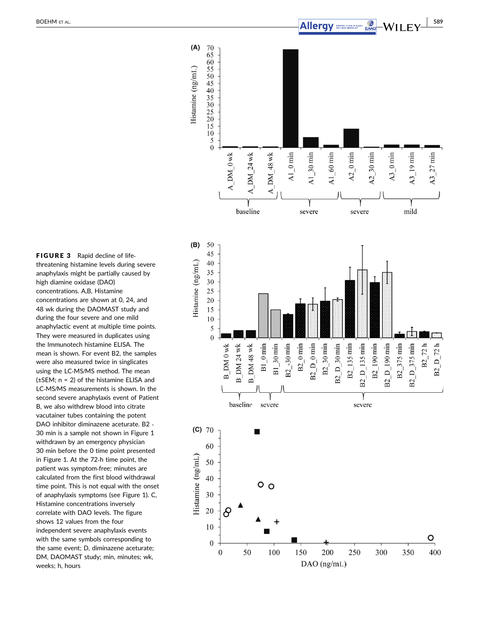

FIGURE 3 Rapid decline of lifethreatening histamine levels during severe anaphylaxis might be partially caused by high diamine oxidase (DAO) concentrations. A,B, Histamine concentrations are shown at 0, 24, and 48 wk during the DAOMAST study and during the four severe and one mild anaphylactic event at multiple time points. They were measured in duplicates using the Immunotech histamine ELISA. The mean is shown. For event B2, the samples were also measured twice in singlicates using the LC ‐MS /MS method. The mean (±SEM; n = 2) of the histamine ELISA and LC ‐MS /MS measurements is shown. In the second severe anaphylaxis event of Patient B, we also withdrew blood into citrate vacutainer tubes containing the potent DAO inhibitor diminazene aceturate. B2 ‐ 30 min is a sample not shown in Figure 1 withdrawn by an emergency physician 30 min before the 0 time point presented in Figure 1. At the 72 ‐h time point, the patient was symptom ‐free; minutes are calculated from the first blood withdrawal time point. This is not equal with the onset of anaphylaxis symptoms (see Figure 1). C, Histamine concentrations inversely correlate with DAO levels. The figure shows 12 values from the four independent severe anaphylaxis events with the same symbols corresponding to the same event; D, diminazene aceturate; DM, DAOMAST study; min, minutes; wk, weeks; h, hours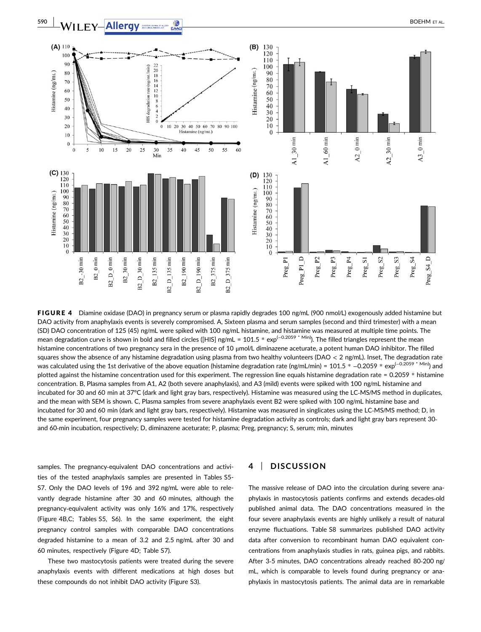

FIGURE 4 Diamine oxidase (DAO) in pregnancy serum or plasma rapidly degrades 100 ng/mL (900 nmol/L) exogenously added histamine but DAO activity from anaphylaxis events is severely compromised. A, Sixteen plasma and serum samples (second and third trimester) with a mean (SD) DAO concentration of 125 (45) ng/mL were spiked with 100 ng/mL histamine, and histamine was measured at multiple time points. The mean degradation curve is shown in bold and filled circles ([HIS] ng/mL = 101.5 \* exp<sup>(-0.2059</sup> \* Min)). The filled triangles represent the mean histamine concentrations of two pregnancy sera in the presence of 10 μmol/L diminazene aceturate, a potent human DAO inhibitor. The filled squares show the absence of any histamine degradation using plasma from two healthy volunteers (DAO  $<$  2 ng/mL). Inset, The degradation rate was calculated using the 1st derivative of the above equation (histamine degradation rate (ng/mL/min) = 101.5 \* -0.2059 \* exp<sup>(-0.2059 \* Min</sup>) and plotted against the histamine concentration used for this experiment. The regression line equals histamine degradation rate = 0.2059 \* histamine concentration. B, Plasma samples from A1, A2 (both severe anaphylaxis), and A3 (mild) events were spiked with 100 ng/mL histamine and incubated for 30 and 60 min at 37°C (dark and light gray bars, respectively). Histamine was measured using the LC‐MS/MS method in duplicates, and the mean with SEM is shown. C, Plasma samples from severe anaphylaxis event B2 were spiked with 100 ng/mL histamine base and incubated for 30 and 60 min (dark and light gray bars, respectively). Histamine was measured in singlicates using the LC‐MS/MS method; D, in the same experiment, four pregnancy samples were tested for histamine degradation activity as controls; dark and light gray bars represent 30‐ and 60-min incubation, respectively; D, diminazene aceturate; P, plasma; Preg, pregnancy; S, serum; min, minutes

samples. The pregnancy-equivalent DAO concentrations and activities of the tested anaphylaxis samples are presented in Tables S5- S7. Only the DAO levels of 196 and 392 ng/mL were able to relevantly degrade histamine after 30 and 60 minutes, although the pregnancy-equivalent activity was only 16% and 17%, respectively (Figure 4B,C; Tables S5, S6). In the same experiment, the eight pregnancy control samples with comparable DAO concentrations degraded histamine to a mean of 3.2 and 2.5 ng/mL after 30 and 60 minutes, respectively (Figure 4D; Table S7).

These two mastocytosis patients were treated during the severe anaphylaxis events with different medications at high doses but these compounds do not inhibit DAO activity (Figure S3).

## 4 | DISCUSSION

The massive release of DAO into the circulation during severe anaphylaxis in mastocytosis patients confirms and extends decades‐old published animal data. The DAO concentrations measured in the four severe anaphylaxis events are highly unlikely a result of natural enzyme fluctuations. Table S8 summarizes published DAO activity data after conversion to recombinant human DAO equivalent concentrations from anaphylaxis studies in rats, guinea pigs, and rabbits. After 3‐5 minutes, DAO concentrations already reached 80‐200 ng/ mL, which is comparable to levels found during pregnancy or anaphylaxis in mastocytosis patients. The animal data are in remarkable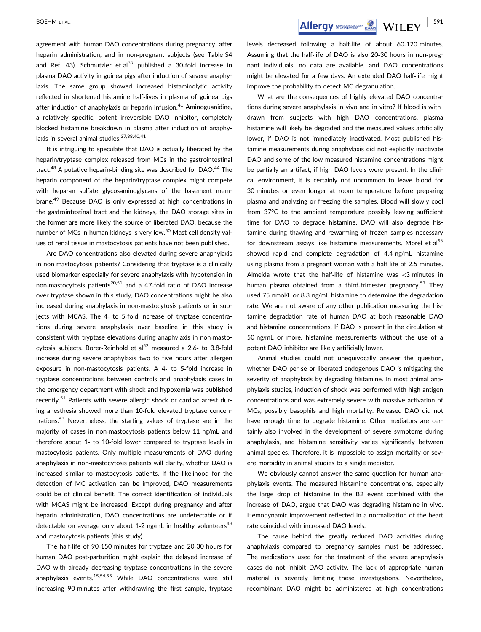agreement with human DAO concentrations during pregnancy, after heparin administration, and in non-pregnant subjects (see Table S4 and Ref. 43). Schmutzler et al<sup>39</sup> published a 30-fold increase in plasma DAO activity in guinea pigs after induction of severe anaphylaxis. The same group showed increased histaminolytic activity reflected in shortened histamine half‐lives in plasma of guinea pigs after induction of anaphylaxis or heparin infusion. $41$  Aminoguanidine. a relatively specific, potent irreversible DAO inhibitor, completely blocked histamine breakdown in plasma after induction of anaphylaxis in several animal studies. 37, 38, 40, 41

It is intriguing to speculate that DAO is actually liberated by the heparin/tryptase complex released from MCs in the gastrointestinal tract.<sup>48</sup> A putative heparin-binding site was described for DAO.<sup>44</sup> The heparin component of the heparin/tryptase complex might compete with heparan sulfate glycosaminoglycans of the basement membrane.<sup>49</sup> Because DAO is only expressed at high concentrations in the gastrointestinal tract and the kidneys, the DAO storage sites in the former are more likely the source of liberated DAO, because the number of MCs in human kidneys is very low.<sup>50</sup> Mast cell density values of renal tissue in mastocytosis patients have not been published.

Are DAO concentrations also elevated during severe anaphylaxis in non-mastocytosis patients? Considering that tryptase is a clinically used biomarker especially for severe anaphylaxis with hypotension in non-mastocytosis patients<sup>20,51</sup> and a 47-fold ratio of DAO increase over tryptase shown in this study, DAO concentrations might be also increased during anaphylaxis in non‐mastocytosis patients or in subjects with MCAS. The 4- to 5-fold increase of tryptase concentrations during severe anaphylaxis over baseline in this study is consistent with tryptase elevations during anaphylaxis in non‐mastocytosis subjects. Borer-Reinhold et al<sup>52</sup> measured a 2.6- to 3.8-fold increase during severe anaphylaxis two to five hours after allergen exposure in non‐mastocytosis patients. A 4‐ to 5‐fold increase in tryptase concentrations between controls and anaphylaxis cases in the emergency department with shock and hypoxemia was published recently.<sup>51</sup> Patients with severe allergic shock or cardiac arrest during anesthesia showed more than 10-fold elevated tryptase concentrations.53 Nevertheless, the starting values of tryptase are in the majority of cases in non-mastocytosis patients below 11 ng/mL and therefore about 1‐ to 10‐fold lower compared to tryptase levels in mastocytosis patients. Only multiple measurements of DAO during anaphylaxis in non‐mastocytosis patients will clarify, whether DAO is increased similar to mastocytosis patients. If the likelihood for the detection of MC activation can be improved, DAO measurements could be of clinical benefit. The correct identification of individuals with MCAS might be increased. Except during pregnancy and after heparin administration, DAO concentrations are undetectable or if detectable on average only about 1-2 ng/mL in healthy volunteers<sup>43</sup> and mastocytosis patients (this study).

The half‐life of 90‐150 minutes for tryptase and 20‐30 hours for human DAO post-parturition might explain the delayed increase of DAO with already decreasing tryptase concentrations in the severe anaphylaxis events.<sup>15,54,55</sup> While DAO concentrations were still increasing 90 minutes after withdrawing the first sample, tryptase levels decreased following a half‐life of about 60‐120 minutes. Assuming that the half‐life of DAO is also 20‐30 hours in non‐pregnant individuals, no data are available, and DAO concentrations might be elevated for a few days. An extended DAO half‐life might improve the probability to detect MC degranulation.

What are the consequences of highly elevated DAO concentrations during severe anaphylaxis in vivo and in vitro? If blood is withdrawn from subjects with high DAO concentrations, plasma histamine will likely be degraded and the measured values artificially lower, if DAO is not immediately inactivated. Most published histamine measurements during anaphylaxis did not explicitly inactivate DAO and some of the low measured histamine concentrations might be partially an artifact, if high DAO levels were present. In the clinical environment, it is certainly not uncommon to leave blood for 30 minutes or even longer at room temperature before preparing plasma and analyzing or freezing the samples. Blood will slowly cool from 37°C to the ambient temperature possibly leaving sufficient time for DAO to degrade histamine. DAO will also degrade histamine during thawing and rewarming of frozen samples necessary for downstream assays like histamine measurements. Morel et al<sup>56</sup> showed rapid and complete degradation of 4.4 ng/mL histamine using plasma from a pregnant woman with a half‐life of 2.5 minutes. Almeida wrote that the half‐life of histamine was <3 minutes in human plasma obtained from a third-trimester pregnancy.<sup>57</sup> They used 75 nmol/L or 8.3 ng/mL histamine to determine the degradation rate. We are not aware of any other publication measuring the histamine degradation rate of human DAO at both reasonable DAO and histamine concentrations. If DAO is present in the circulation at 50 ng/mL or more, histamine measurements without the use of a potent DAO inhibitor are likely artificially lower.

Animal studies could not unequivocally answer the question, whether DAO per se or liberated endogenous DAO is mitigating the severity of anaphylaxis by degrading histamine. In most animal anaphylaxis studies, induction of shock was performed with high antigen concentrations and was extremely severe with massive activation of MCs, possibly basophils and high mortality. Released DAO did not have enough time to degrade histamine. Other mediators are certainly also involved in the development of severe symptoms during anaphylaxis, and histamine sensitivity varies significantly between animal species. Therefore, it is impossible to assign mortality or severe morbidity in animal studies to a single mediator.

We obviously cannot answer the same question for human anaphylaxis events. The measured histamine concentrations, especially the large drop of histamine in the B2 event combined with the increase of DAO, argue that DAO was degrading histamine in vivo. Hemodynamic improvement reflected in a normalization of the heart rate coincided with increased DAO levels.

The cause behind the greatly reduced DAO activities during anaphylaxis compared to pregnancy samples must be addressed. The medications used for the treatment of the severe anaphylaxis cases do not inhibit DAO activity. The lack of appropriate human material is severely limiting these investigations. Nevertheless, recombinant DAO might be administered at high concentrations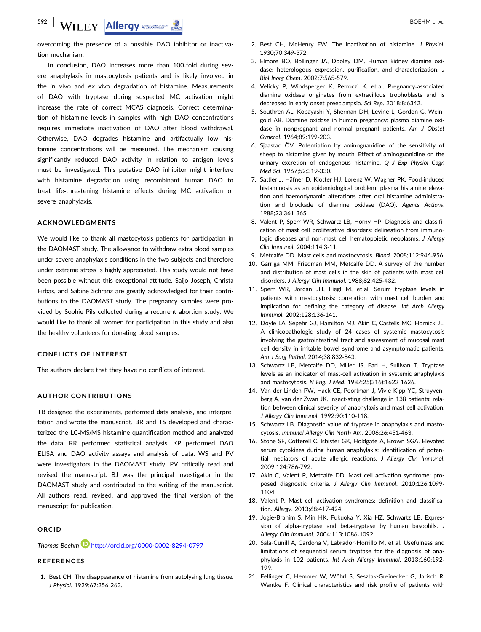# **592 WILEY-Allergy** SUBDEHM ET AL.

overcoming the presence of a possible DAO inhibitor or inactivation mechanism.

In conclusion, DAO increases more than 100‐fold during severe anaphylaxis in mastocytosis patients and is likely involved in the in vivo and ex vivo degradation of histamine. Measurements of DAO with tryptase during suspected MC activation might increase the rate of correct MCAS diagnosis. Correct determination of histamine levels in samples with high DAO concentrations requires immediate inactivation of DAO after blood withdrawal. Otherwise, DAO degrades histamine and artifactually low histamine concentrations will be measured. The mechanism causing significantly reduced DAO activity in relation to antigen levels must be investigated. This putative DAO inhibitor might interfere with histamine degradation using recombinant human DAO to treat life‐threatening histamine effects during MC activation or severe anaphylaxis.

#### ACKNOWLEDGMENTS

We would like to thank all mastocytosis patients for participation in the DAOMAST study. The allowance to withdraw extra blood samples under severe anaphylaxis conditions in the two subjects and therefore under extreme stress is highly appreciated. This study would not have been possible without this exceptional attitude. Saijo Joseph, Christa Firbas, and Sabine Schranz are greatly acknowledged for their contributions to the DAOMAST study. The pregnancy samples were provided by Sophie Pils collected during a recurrent abortion study. We would like to thank all women for participation in this study and also the healthy volunteers for donating blood samples.

#### CONFLICTS OF INTEREST

The authors declare that they have no conflicts of interest.

#### AUTHOR CONTRIBUTIONS

TB designed the experiments, performed data analysis, and interpretation and wrote the manuscript. BR and TS developed and characterized the LC‐MS/MS histamine quantification method and analyzed the data. RR performed statistical analysis. KP performed DAO ELISA and DAO activity assays and analysis of data. WS and PV were investigators in the DAOMAST study. PV critically read and revised the manuscript. BJ was the principal investigator in the DAOMAST study and contributed to the writing of the manuscript. All authors read, revised, and approved the final version of the manuscript for publication.

#### **ORCID**

## Thomas Boehm **D** http://orcid.org/0000-0002-8294-0797

#### REFERENCES

1. Best CH. The disappearance of histamine from autolysing lung tissue. J Physiol. 1929;67:256‐263.

- 2. Best CH, McHenry EW. The inactivation of histamine. J Physiol. 1930;70:349‐372.
- 3. Elmore BO, Bollinger JA, Dooley DM. Human kidney diamine oxidase: heterologous expression, purification, and characterization. J Biol Inorg Chem. 2002;7:565‐579.
- 4. Velicky P, Windsperger K, Petroczi K, et al. Pregnancy‐associated diamine oxidase originates from extravillous trophoblasts and is decreased in early‐onset preeclampsia. Sci Rep. 2018;8:6342.
- 5. Southren AL, Kobayashi Y, Sherman DH, Levine L, Gordon G, Weingold AB. Diamine oxidase in human pregnancy: plasma diamine oxidase in nonpregnant and normal pregnant patients. Am J Obstet Gynecol. 1964;89:199‐203.
- 6. Sjaastad ÖV. Potentiation by aminoguanidine of the sensitivity of sheep to histamine given by mouth. Effect of aminoguanidine on the urinary excretion of endogenous histamine. Q J Exp Physiol Cogn Med Sci. 1967;52:319‐330.
- 7. Sattler J, Häfner D, Klotter HJ, Lorenz W, Wagner PK. Food‐induced histaminosis as an epidemiological problem: plasma histamine elevation and haemodynamic alterations after oral histamine administration and blockade of diamine oxidase (DAO). Agents Actions. 1988;23:361‐365.
- 8. Valent P, Sperr WR, Schwartz LB, Horny HP. Diagnosis and classification of mast cell proliferative disorders: delineation from immunologic diseases and non‐mast cell hematopoietic neoplasms. J Allergy Clin Immunol. 2004;114:3‐11.
- 9. Metcalfe DD. Mast cells and mastocytosis. Blood. 2008;112:946‐956.
- 10. Garriga MM, Friedman MM, Metcalfe DD. A survey of the number and distribution of mast cells in the skin of patients with mast cell disorders. J Allergy Clin Immunol. 1988;82:425‐432.
- 11. Sperr WR, Jordan JH, Fiegl M, et al. Serum tryptase levels in patients with mastocytosis: correlation with mast cell burden and implication for defining the category of disease. Int Arch Allergy Immunol. 2002;128:136‐141.
- 12. Doyle LA, Sepehr GJ, Hamilton MJ, Akin C, Castells MC, Hornick JL. A clinicopathologic study of 24 cases of systemic mastocytosis involving the gastrointestinal tract and assessment of mucosal mast cell density in irritable bowel syndrome and asymptomatic patients. Am J Surg Pathol. 2014;38:832‐843.
- 13. Schwartz LB, Metcalfe DD, Miller JS, Earl H, Sullivan T. Tryptase levels as an indicator of mast‐cell activation in systemic anaphylaxis and mastocytosis. N Engl J Med. 1987;25(316):1622‐1626.
- 14. Van der Linden PW, Hack CE, Poortman J, Vivie-Kipp YC, Struyvenberg A, van der Zwan JK. Insect‐sting challenge in 138 patients: relation between clinical severity of anaphylaxis and mast cell activation. J Allergy Clin Immunol. 1992;90:110‐118.
- 15. Schwartz LB. Diagnostic value of tryptase in anaphylaxis and mastocytosis. Immunol Allergy Clin North Am. 2006;26:451‐463.
- 16. Stone SF, Cotterell C, Isbister GK, Holdgate A, Brown SGA. Elevated serum cytokines during human anaphylaxis: identification of potential mediators of acute allergic reactions. J Allergy Clin Immunol. 2009;124:786‐792.
- 17. Akin C, Valent P, Metcalfe DD. Mast cell activation syndrome: proposed diagnostic criteria. J Allergy Clin Immunol. 2010;126:1099‐ 1104.
- 18. Valent P. Mast cell activation syndromes: definition and classification. Allergy. 2013;68:417‐424.
- 19. Jogie-Brahim S, Min HK, Fukuoka Y, Xia HZ, Schwartz LB. Expression of alpha-tryptase and beta-tryptase by human basophils. J Allergy Clin Immunol. 2004;113:1086‐1092.
- 20. Sala-Cunill A, Cardona V, Labrador-Horrillo M, et al. Usefulness and limitations of sequential serum tryptase for the diagnosis of anaphylaxis in 102 patients. Int Arch Allergy Immunol. 2013;160:192-199.
- 21. Fellinger C, Hemmer W, Wöhrl S, Sesztak-Greinecker G, Jarisch R, Wantke F. Clinical characteristics and risk profile of patients with